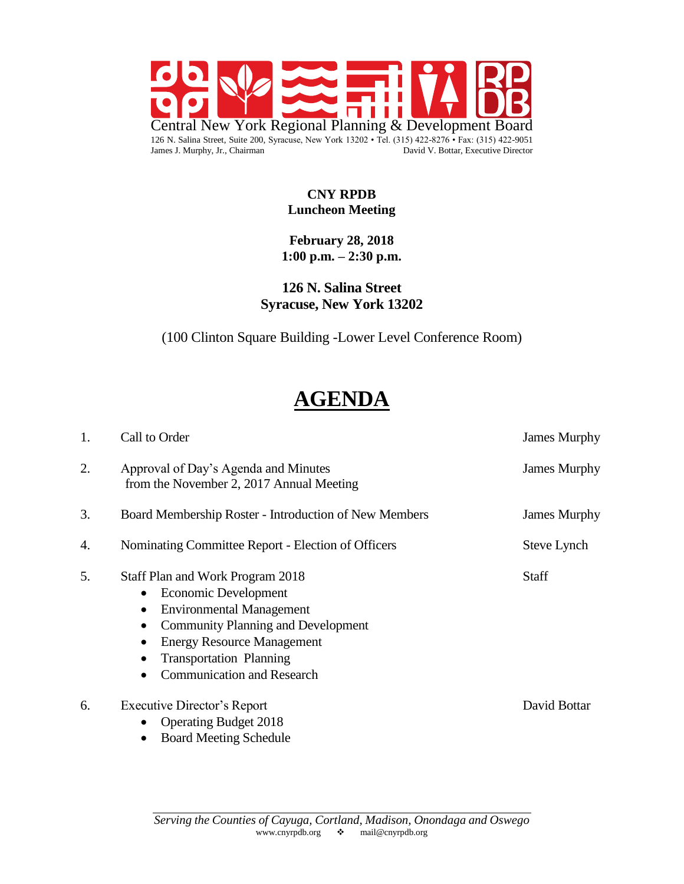

#### **CNY RPDB Luncheon Meeting**

### **February 28, 2018 1:00 p.m. – 2:30 p.m.**

**126 N. Salina Street Syracuse, New York 13202**

(100 Clinton Square Building -Lower Level Conference Room)

# **AGENDA**

| 1. | Call to Order                                                                                                                                                                                                                                                                                                         | <b>James Murphy</b> |
|----|-----------------------------------------------------------------------------------------------------------------------------------------------------------------------------------------------------------------------------------------------------------------------------------------------------------------------|---------------------|
| 2. | Approval of Day's Agenda and Minutes<br>from the November 2, 2017 Annual Meeting                                                                                                                                                                                                                                      | <b>James Murphy</b> |
| 3. | Board Membership Roster - Introduction of New Members                                                                                                                                                                                                                                                                 | <b>James Murphy</b> |
| 4. | Nominating Committee Report - Election of Officers                                                                                                                                                                                                                                                                    | Steve Lynch         |
| 5. | Staff Plan and Work Program 2018<br>Economic Development<br>$\bullet$<br><b>Environmental Management</b><br>$\bullet$<br><b>Community Planning and Development</b><br>$\bullet$<br><b>Energy Resource Management</b><br>$\bullet$<br><b>Transportation Planning</b><br><b>Communication and Research</b><br>$\bullet$ | <b>Staff</b>        |
| 6. | <b>Executive Director's Report</b><br><b>Operating Budget 2018</b><br>$\bullet$<br><b>Board Meeting Schedule</b>                                                                                                                                                                                                      | David Bottar        |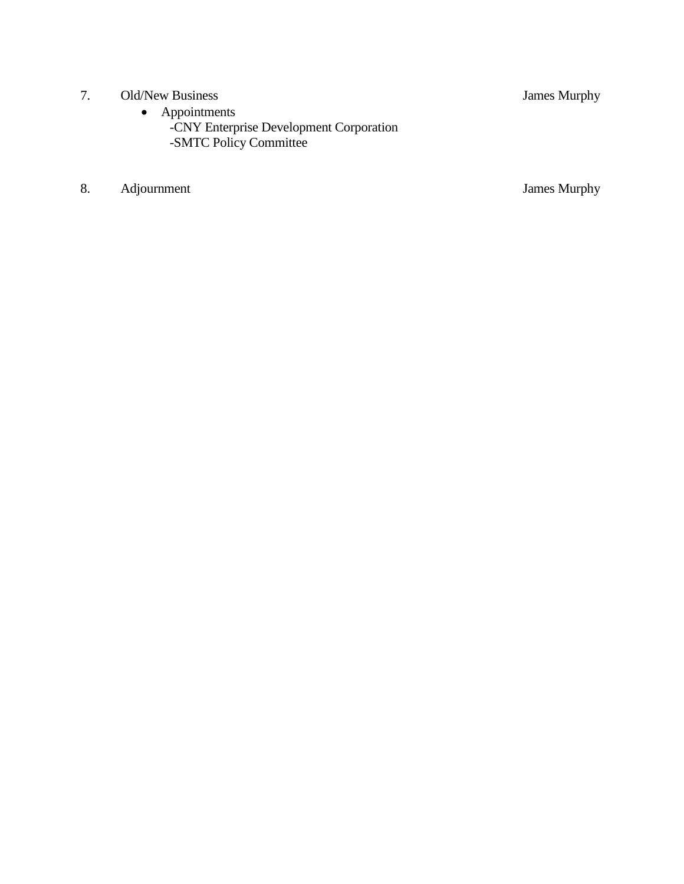- 7. Old/New Business James Murphy
	- Appointments
- -CNY Enterprise Development Corporation -SMTC Policy Committee
- 8. Adjournment James Murphy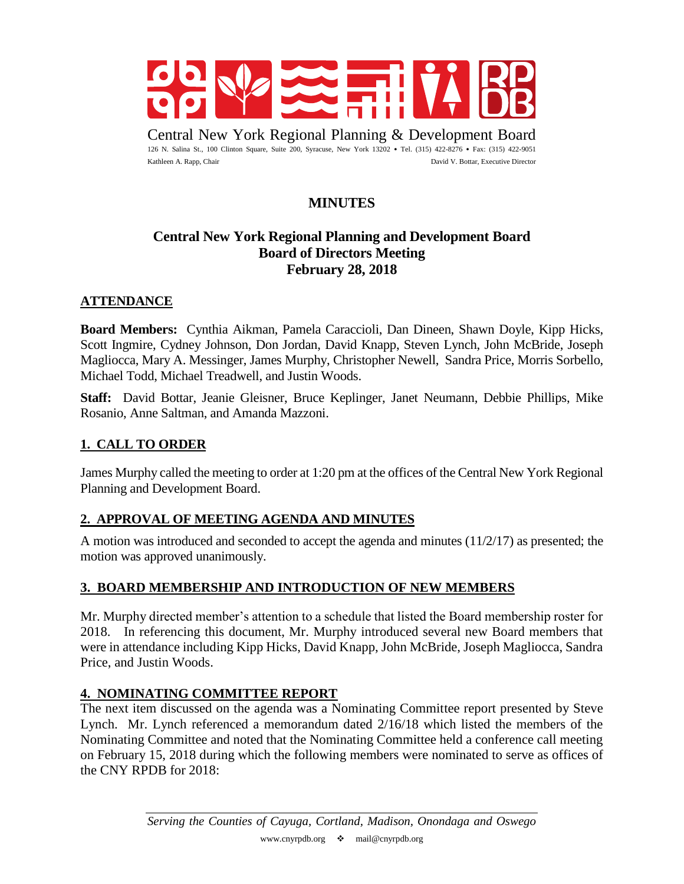

Central New York Regional Planning & Development Board 126 N. Salina St., 100 Clinton Square, Suite 200, Syracuse, New York 13202 • Tel. (315) 422-8276 • Fax: (315) 422-9051 Kathleen A. Rapp, Chair David V. Bottar, Executive Director

# **MINUTES**

# **Central New York Regional Planning and Development Board Board of Directors Meeting February 28, 2018**

#### **ATTENDANCE**

**Board Members:** Cynthia Aikman, Pamela Caraccioli, Dan Dineen, Shawn Doyle, Kipp Hicks, Scott Ingmire, Cydney Johnson, Don Jordan, David Knapp, Steven Lynch, John McBride, Joseph Magliocca, Mary A. Messinger, James Murphy, Christopher Newell, Sandra Price, Morris Sorbello, Michael Todd, Michael Treadwell, and Justin Woods.

**Staff:** David Bottar, Jeanie Gleisner, Bruce Keplinger, Janet Neumann, Debbie Phillips, Mike Rosanio, Anne Saltman, and Amanda Mazzoni.

#### **1. CALL TO ORDER**

James Murphy called the meeting to order at 1:20 pm at the offices of the Central New York Regional Planning and Development Board.

#### **2. APPROVAL OF MEETING AGENDA AND MINUTES**

A motion was introduced and seconded to accept the agenda and minutes (11/2/17) as presented; the motion was approved unanimously.

#### **3. BOARD MEMBERSHIP AND INTRODUCTION OF NEW MEMBERS**

Mr. Murphy directed member's attention to a schedule that listed the Board membership roster for 2018. In referencing this document, Mr. Murphy introduced several new Board members that were in attendance including Kipp Hicks, David Knapp, John McBride, Joseph Magliocca, Sandra Price, and Justin Woods.

#### **4. NOMINATING COMMITTEE REPORT**

The next item discussed on the agenda was a Nominating Committee report presented by Steve Lynch. Mr. Lynch referenced a memorandum dated 2/16/18 which listed the members of the Nominating Committee and noted that the Nominating Committee held a conference call meeting on February 15, 2018 during which the following members were nominated to serve as offices of the CNY RPDB for 2018: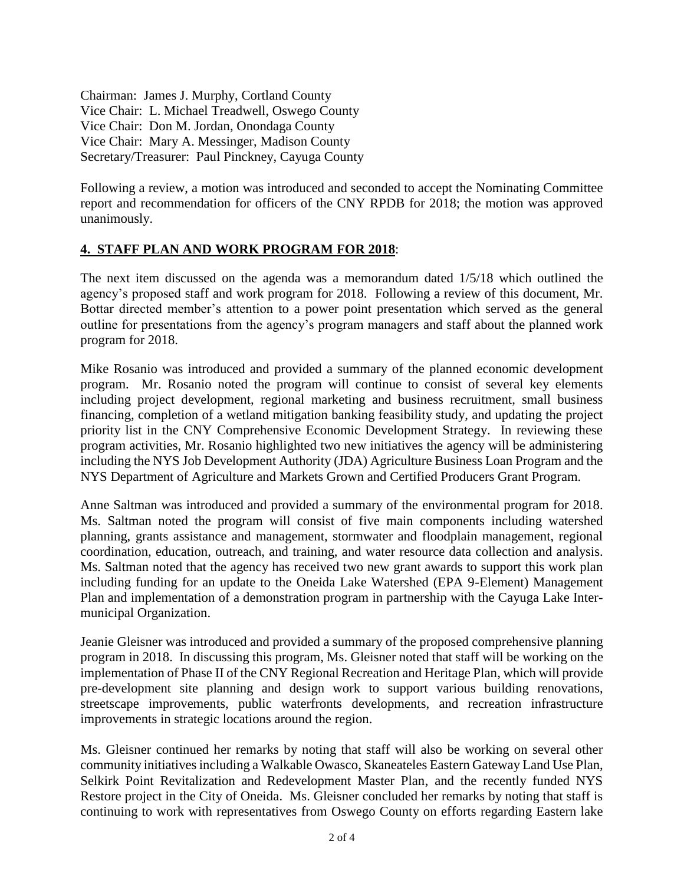Chairman: James J. Murphy, Cortland County Vice Chair: L. Michael Treadwell, Oswego County Vice Chair: Don M. Jordan, Onondaga County Vice Chair: Mary A. Messinger, Madison County Secretary/Treasurer: Paul Pinckney, Cayuga County

Following a review, a motion was introduced and seconded to accept the Nominating Committee report and recommendation for officers of the CNY RPDB for 2018; the motion was approved unanimously.

#### **4. STAFF PLAN AND WORK PROGRAM FOR 2018**:

The next item discussed on the agenda was a memorandum dated 1/5/18 which outlined the agency's proposed staff and work program for 2018. Following a review of this document, Mr. Bottar directed member's attention to a power point presentation which served as the general outline for presentations from the agency's program managers and staff about the planned work program for 2018.

Mike Rosanio was introduced and provided a summary of the planned economic development program. Mr. Rosanio noted the program will continue to consist of several key elements including project development, regional marketing and business recruitment, small business financing, completion of a wetland mitigation banking feasibility study, and updating the project priority list in the CNY Comprehensive Economic Development Strategy. In reviewing these program activities, Mr. Rosanio highlighted two new initiatives the agency will be administering including the NYS Job Development Authority (JDA) Agriculture Business Loan Program and the NYS Department of Agriculture and Markets Grown and Certified Producers Grant Program.

Anne Saltman was introduced and provided a summary of the environmental program for 2018. Ms. Saltman noted the program will consist of five main components including watershed planning, grants assistance and management, stormwater and floodplain management, regional coordination, education, outreach, and training, and water resource data collection and analysis. Ms. Saltman noted that the agency has received two new grant awards to support this work plan including funding for an update to the Oneida Lake Watershed (EPA 9-Element) Management Plan and implementation of a demonstration program in partnership with the Cayuga Lake Intermunicipal Organization.

Jeanie Gleisner was introduced and provided a summary of the proposed comprehensive planning program in 2018. In discussing this program, Ms. Gleisner noted that staff will be working on the implementation of Phase II of the CNY Regional Recreation and Heritage Plan, which will provide pre-development site planning and design work to support various building renovations, streetscape improvements, public waterfronts developments, and recreation infrastructure improvements in strategic locations around the region.

Ms. Gleisner continued her remarks by noting that staff will also be working on several other community initiatives including a Walkable Owasco, Skaneateles Eastern Gateway Land Use Plan, Selkirk Point Revitalization and Redevelopment Master Plan, and the recently funded NYS Restore project in the City of Oneida. Ms. Gleisner concluded her remarks by noting that staff is continuing to work with representatives from Oswego County on efforts regarding Eastern lake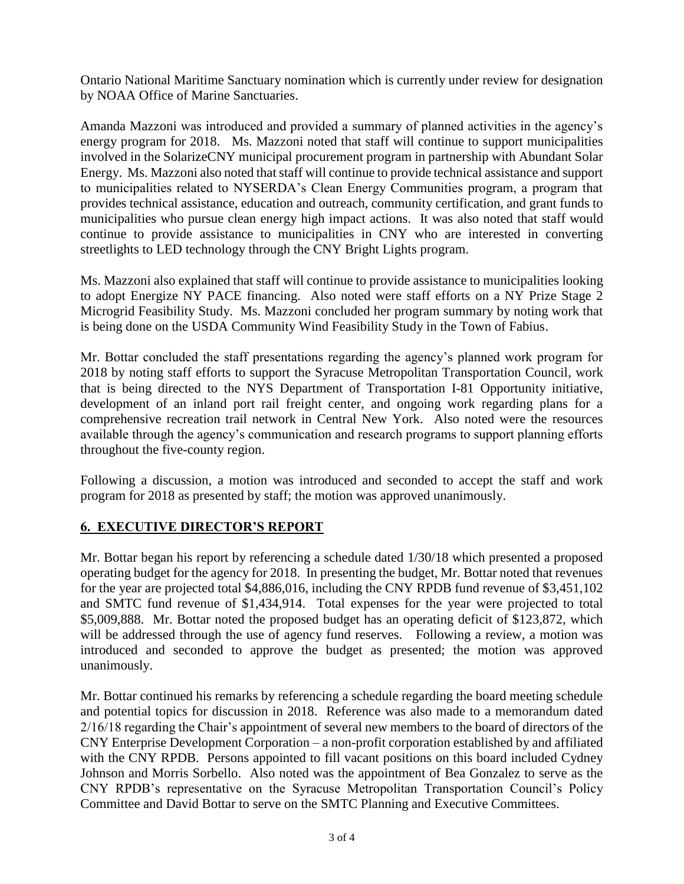Ontario National Maritime Sanctuary nomination which is currently under review for designation by NOAA Office of Marine Sanctuaries.

Amanda Mazzoni was introduced and provided a summary of planned activities in the agency's energy program for 2018. Ms. Mazzoni noted that staff will continue to support municipalities involved in the SolarizeCNY municipal procurement program in partnership with Abundant Solar Energy. Ms. Mazzoni also noted that staff will continue to provide technical assistance and support to municipalities related to NYSERDA's Clean Energy Communities program, a program that provides technical assistance, education and outreach, community certification, and grant funds to municipalities who pursue clean energy high impact actions. It was also noted that staff would continue to provide assistance to municipalities in CNY who are interested in converting streetlights to LED technology through the CNY Bright Lights program.

Ms. Mazzoni also explained that staff will continue to provide assistance to municipalities looking to adopt Energize NY PACE financing. Also noted were staff efforts on a NY Prize Stage 2 Microgrid Feasibility Study. Ms. Mazzoni concluded her program summary by noting work that is being done on the USDA Community Wind Feasibility Study in the Town of Fabius.

Mr. Bottar concluded the staff presentations regarding the agency's planned work program for 2018 by noting staff efforts to support the Syracuse Metropolitan Transportation Council, work that is being directed to the NYS Department of Transportation I-81 Opportunity initiative, development of an inland port rail freight center, and ongoing work regarding plans for a comprehensive recreation trail network in Central New York. Also noted were the resources available through the agency's communication and research programs to support planning efforts throughout the five-county region.

Following a discussion, a motion was introduced and seconded to accept the staff and work program for 2018 as presented by staff; the motion was approved unanimously.

## **6. EXECUTIVE DIRECTOR'S REPORT**

Mr. Bottar began his report by referencing a schedule dated 1/30/18 which presented a proposed operating budget for the agency for 2018. In presenting the budget, Mr. Bottar noted that revenues for the year are projected total \$4,886,016, including the CNY RPDB fund revenue of \$3,451,102 and SMTC fund revenue of \$1,434,914. Total expenses for the year were projected to total \$5,009,888. Mr. Bottar noted the proposed budget has an operating deficit of \$123,872, which will be addressed through the use of agency fund reserves. Following a review, a motion was introduced and seconded to approve the budget as presented; the motion was approved unanimously.

Mr. Bottar continued his remarks by referencing a schedule regarding the board meeting schedule and potential topics for discussion in 2018. Reference was also made to a memorandum dated 2/16/18 regarding the Chair's appointment of several new members to the board of directors of the CNY Enterprise Development Corporation – a non-profit corporation established by and affiliated with the CNY RPDB. Persons appointed to fill vacant positions on this board included Cydney Johnson and Morris Sorbello. Also noted was the appointment of Bea Gonzalez to serve as the CNY RPDB's representative on the Syracuse Metropolitan Transportation Council's Policy Committee and David Bottar to serve on the SMTC Planning and Executive Committees.